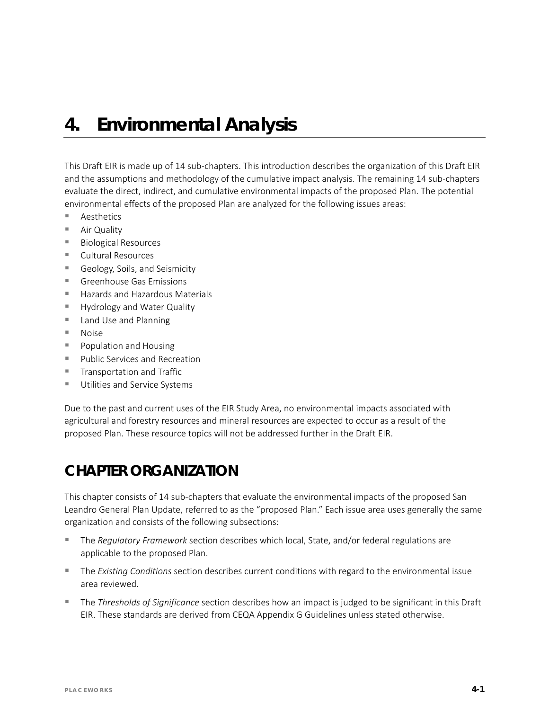# *4. Environmental Analysis*

This Draft EIR is made up of 14 sub-chapters. This introduction describes the organization of this Draft EIR and the assumptions and methodology of the cumulative impact analysis. The remaining 14 sub-chapters evaluate the direct, indirect, and cumulative environmental impacts of the proposed Plan. The potential environmental effects of the proposed Plan are analyzed for the following issues areas:

- Aesthetics
- Air Quality
- Biological Resources
- Cultural Resources
- Geology, Soils, and Seismicity
- **Greenhouse Gas Emissions**
- Hazards and Hazardous Materials
- **Hydrology and Water Quality**
- **Land Use and Planning**
- Noise
- **Population and Housing**
- **Public Services and Recreation**
- **Transportation and Traffic**
- **Utilities and Service Systems**

Due to the past and current uses of the EIR Study Area, no environmental impacts associated with agricultural and forestry resources and mineral resources are expected to occur as a result of the proposed Plan. These resource topics will not be addressed further in the Draft EIR.

### **CHAPTER ORGANIZATION**

This chapter consists of 14 sub-chapters that evaluate the environmental impacts of the proposed San Leandro General Plan Update, referred to as the "proposed Plan." Each issue area uses generally the same organization and consists of the following subsections:

- The *Regulatory Framework* section describes which local, State, and/or federal regulations are applicable to the proposed Plan.
- The *Existing Conditions* section describes current conditions with regard to the environmental issue area reviewed.
- The *Thresholds of Significance* section describes how an impact is judged to be significant in this Draft EIR. These standards are derived from CEQA Appendix G Guidelines unless stated otherwise.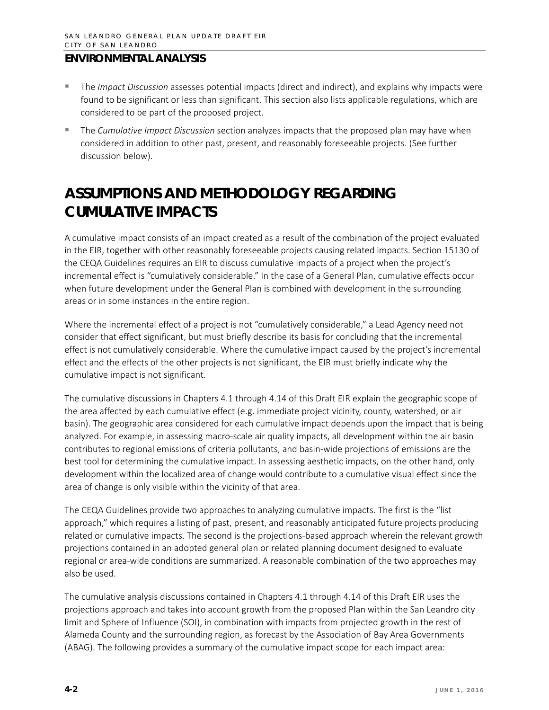- The *Impact Discussion* assesses potential impacts (direct and indirect), and explains why impacts were found to be significant or less than significant. This section also lists applicable regulations, which are considered to be part of the proposed project.
- The *Cumulative Impact Discussion* section analyzes impacts that the proposed plan may have when considered in addition to other past, present, and reasonably foreseeable projects. (See further discussion below).

## **ASSUMPTIONS AND METHODOLOGY REGARDING CUMULATIVE IMPACTS**

A cumulative impact consists of an impact created as a result of the combination of the project evaluated in the EIR, together with other reasonably foreseeable projects causing related impacts. Section 15130 of the CEQA Guidelines requires an EIR to discuss cumulative impacts of a project when the project's incremental effect is "cumulatively considerable." In the case of a General Plan, cumulative effects occur when future development under the General Plan is combined with development in the surrounding areas or in some instances in the entire region.

Where the incremental effect of a project is not "cumulatively considerable," a Lead Agency need not consider that effect significant, but must briefly describe its basis for concluding that the incremental effect is not cumulatively considerable. Where the cumulative impact caused by the project's incremental effect and the effects of the other projects is not significant, the EIR must briefly indicate why the cumulative impact is not significant.

The cumulative discussions in Chapters 4.1 through 4.14 of this Draft EIR explain the geographic scope of the area affected by each cumulative effect (e.g. immediate project vicinity, county, watershed, or air basin). The geographic area considered for each cumulative impact depends upon the impact that is being analyzed. For example, in assessing macro-scale air quality impacts, all development within the air basin contributes to regional emissions of criteria pollutants, and basin-wide projections of emissions are the best tool for determining the cumulative impact. In assessing aesthetic impacts, on the other hand, only development within the localized area of change would contribute to a cumulative visual effect since the area of change is only visible within the vicinity of that area.

The CEQA Guidelines provide two approaches to analyzing cumulative impacts. The first is the "list approach," which requires a listing of past, present, and reasonably anticipated future projects producing related or cumulative impacts. The second is the projections-based approach wherein the relevant growth projections contained in an adopted general plan or related planning document designed to evaluate regional or area-wide conditions are summarized. A reasonable combination of the two approaches may also be used.

The cumulative analysis discussions contained in Chapters 4.1 through 4.14 of this Draft EIR uses the projections approach and takes into account growth from the proposed Plan within the San Leandro city limit and Sphere of Influence (SOI), in combination with impacts from projected growth in the rest of Alameda County and the surrounding region, as forecast by the Association of Bay Area Governments (ABAG). The following provides a summary of the cumulative impact scope for each impact area: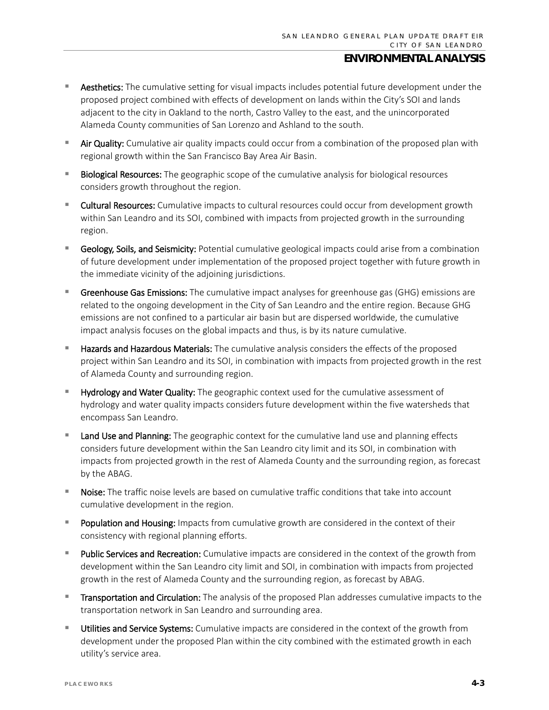- **E** Aesthetics: The cumulative setting for visual impacts includes potential future development under the proposed project combined with effects of development on lands within the City's SOI and lands adjacent to the city in Oakland to the north, Castro Valley to the east, and the unincorporated Alameda County communities of San Lorenzo and Ashland to the south.
- Air Quality: Cumulative air quality impacts could occur from a combination of the proposed plan with regional growth within the San Francisco Bay Area Air Basin.
- **Biological Resources:** The geographic scope of the cumulative analysis for biological resources considers growth throughout the region.
- Cultural Resources: Cumulative impacts to cultural resources could occur from development growth within San Leandro and its SOI, combined with impacts from projected growth in the surrounding region.
- Geology, Soils, and Seismicity: Potential cumulative geological impacts could arise from a combination of future development under implementation of the proposed project together with future growth in the immediate vicinity of the adjoining jurisdictions.
- Greenhouse Gas Emissions: The cumulative impact analyses for greenhouse gas (GHG) emissions are related to the ongoing development in the City of San Leandro and the entire region. Because GHG emissions are not confined to a particular air basin but are dispersed worldwide, the cumulative impact analysis focuses on the global impacts and thus, is by its nature cumulative.
- Hazards and Hazardous Materials: The cumulative analysis considers the effects of the proposed project within San Leandro and its SOI, in combination with impacts from projected growth in the rest of Alameda County and surrounding region.
- Hydrology and Water Quality: The geographic context used for the cumulative assessment of hydrology and water quality impacts considers future development within the five watersheds that encompass San Leandro.
- Land Use and Planning: The geographic context for the cumulative land use and planning effects considers future development within the San Leandro city limit and its SOI, in combination with impacts from projected growth in the rest of Alameda County and the surrounding region, as forecast by the ABAG.
- Noise: The traffic noise levels are based on cumulative traffic conditions that take into account cumulative development in the region.
- **Population and Housing:** Impacts from cumulative growth are considered in the context of their consistency with regional planning efforts.
- Public Services and Recreation: Cumulative impacts are considered in the context of the growth from development within the San Leandro city limit and SOI, in combination with impacts from projected growth in the rest of Alameda County and the surrounding region, as forecast by ABAG.
- Transportation and Circulation: The analysis of the proposed Plan addresses cumulative impacts to the transportation network in San Leandro and surrounding area.
- Utilities and Service Systems: Cumulative impacts are considered in the context of the growth from development under the proposed Plan within the city combined with the estimated growth in each utility's service area.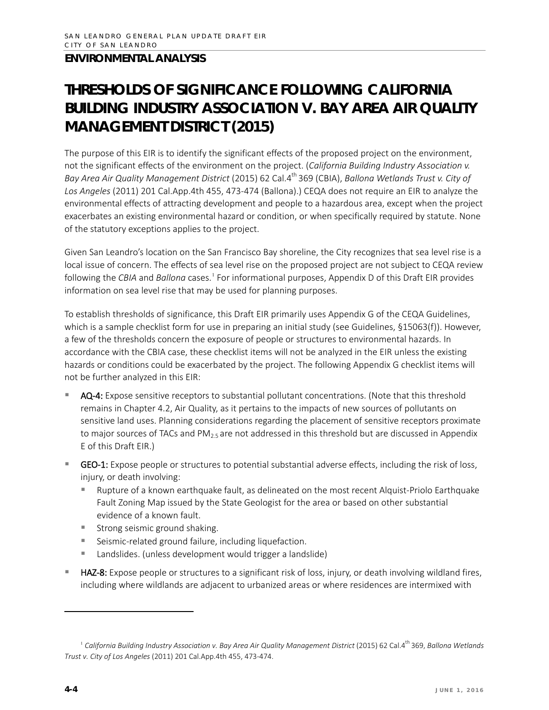## **THRESHOLDS OF SIGNIFICANCE FOLLOWING** *CALIFORNIA BUILDING INDUSTRY ASSOCIATION V. BAY AREA AIR QUALITY MANAGEMENT DISTRICT* **(2015)**

The purpose of this EIR is to identify the significant effects of the proposed project on the environment, not the significant effects of the environment on the project. (*California Building Industry Association v. Bay Area Air Quality Management District* (2015) 62 Cal.4th 369 (CBIA), *Ballona Wetlands Trust v. City of Los Angeles* (2011) 201 Cal.App.4th 455, 473-474 (Ballona).) CEQA does not require an EIR to analyze the environmental effects of attracting development and people to a hazardous area, except when the project exacerbates an existing environmental hazard or condition, or when specifically required by statute. None of the statutory exceptions applies to the project.

Given San Leandro's location on the San Francisco Bay shoreline, the City recognizes that sea level rise is a local issue of concern. The effects of sea level rise on the proposed project are not subject to CEQA review following the *CBIA* and *Ballona* cases.<sup>[1](#page-3-0)</sup> For informational purposes, Appendix D of this Draft EIR provides information on sea level rise that may be used for planning purposes.

To establish thresholds of significance, this Draft EIR primarily uses Appendix G of the CEQA Guidelines, which is a sample checklist form for use in preparing an initial study (see Guidelines, §15063(f)). However, a few of the thresholds concern the exposure of people or structures to environmental hazards. In accordance with the CBIA case, these checklist items will not be analyzed in the EIR unless the existing hazards or conditions could be exacerbated by the project. The following Appendix G checklist items will not be further analyzed in this EIR:

- AQ-4: Expose sensitive receptors to substantial pollutant concentrations. (Note that this threshold remains in Chapter 4.2, Air Quality, as it pertains to the impacts of new sources of pollutants on sensitive land uses. Planning considerations regarding the placement of sensitive receptors proximate to major sources of TACs and  $PM_{2.5}$  are not addressed in this threshold but are discussed in Appendix E of this Draft EIR.)
- GEO-1: Expose people or structures to potential substantial adverse effects, including the risk of loss, injury, or death involving:
	- Rupture of a known earthquake fault, as delineated on the most recent Alquist-Priolo Earthquake Fault Zoning Map issued by the State Geologist for the area or based on other substantial evidence of a known fault.
	- Strong seismic ground shaking.
	- Seismic-related ground failure, including liquefaction.
	- Landslides. (unless development would trigger a landslide)
- HAZ-8: Expose people or structures to a significant risk of loss, injury, or death involving wildland fires, including where wildlands are adjacent to urbanized areas or where residences are intermixed with

l

<span id="page-3-0"></span><sup>&</sup>lt;sup>1</sup> California Building Industry Association v. Bay Area Air Quality Management District (2015) 62 Cal.4<sup>th</sup> 369, Ballona Wetlands *Trust v. City of Los Angeles* (2011) 201 Cal.App.4th 455, 473-474.